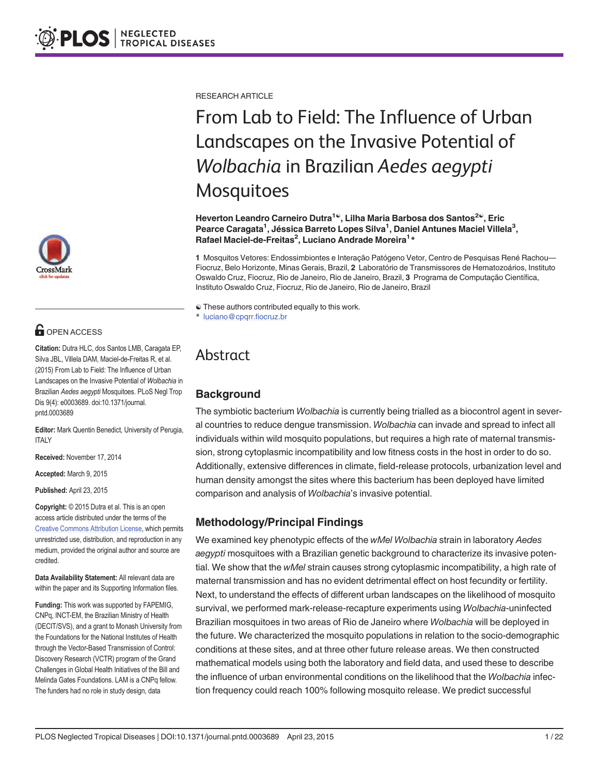

# **OPEN ACCESS**

Citation: Dutra HLC, dos Santos LMB, Caragata EP, Silva JBL, Villela DAM, Maciel-de-Freitas R, et al. (2015) From Lab to Field: The Influence of Urban Landscapes on the Invasive Potential of Wolbachia in Brazilian Aedes aegypti Mosquitoes. PLoS Negl Trop Dis 9(4): e0003689. doi:10.1371/journal. pntd.0003689

Editor: Mark Quentin Benedict, University of Perugia, **ITALY** 

Received: November 17, 2014

Accepted: March 9, 2015

Published: April 23, 2015

Copyright: © 2015 Dutra et al. This is an open access article distributed under the terms of the [Creative Commons Attribution License,](http://creativecommons.org/licenses/by/4.0/) which permits unrestricted use, distribution, and reproduction in any medium, provided the original author and source are credited.

Data Availability Statement: All relevant data are within the paper and its Supporting Information files.

Funding: This work was supported by FAPEMIG, CNPq, INCT-EM, the Brazilian Ministry of Health (DECIT/SVS), and a grant to Monash University from the Foundations for the National Institutes of Health through the Vector-Based Transmission of Control: Discovery Research (VCTR) program of the Grand Challenges in Global Health Initiatives of the Bill and Melinda Gates Foundations. LAM is a CNPq fellow. The funders had no role in study design, data

RESEARCH ARTICLE

# From Lab to Field: The Influence of Urban Landscapes on the Invasive Potential of Wolbachia in Brazilian Aedes aegypti **Mosquitoes**

Heverton Leandro Carneiro Dutra<sup>1©</sup>, Lilha Maria Barbosa dos Santos<sup>2©</sup>, Eric Pearce Caragata<sup>1</sup>, Jéssica Barreto Lopes Silva<sup>1</sup>, Daniel Antunes Maciel Villela<sup>3</sup>, Rafael Maciel-de-Freitas<sup>2</sup>, Luciano Andrade Moreira<sup>1\*</sup>

1 Mosquitos Vetores: Endossimbiontes e Interação Patógeno Vetor, Centro de Pesquisas René Rachou— Fiocruz, Belo Horizonte, Minas Gerais, Brazil, 2 Laboratório de Transmissores de Hematozoários, Instituto Oswaldo Cruz, Fiocruz, Rio de Janeiro, Rio de Janeiro, Brazil, 3 Programa de Computação Científica, Instituto Oswaldo Cruz, Fiocruz, Rio de Janeiro, Rio de Janeiro, Brazil

☯ These authors contributed equally to this work.

\* luciano@cpqrr.fiocruz.br

## Abstract

## **Background**

The symbiotic bacterium Wolbachia is currently being trialled as a biocontrol agent in several countries to reduce dengue transmission. Wolbachia can invade and spread to infect all individuals within wild mosquito populations, but requires a high rate of maternal transmission, strong cytoplasmic incompatibility and low fitness costs in the host in order to do so. Additionally, extensive differences in climate, field-release protocols, urbanization level and human density amongst the sites where this bacterium has been deployed have limited comparison and analysis of Wolbachia's invasive potential.

## Methodology/Principal Findings

We examined key phenotypic effects of the wMel Wolbachia strain in laboratory Aedes aegypti mosquitoes with a Brazilian genetic background to characterize its invasive potential. We show that the *wMel* strain causes strong cytoplasmic incompatibility, a high rate of maternal transmission and has no evident detrimental effect on host fecundity or fertility. Next, to understand the effects of different urban landscapes on the likelihood of mosquito survival, we performed mark-release-recapture experiments using Wolbachia-uninfected Brazilian mosquitoes in two areas of Rio de Janeiro where Wolbachia will be deployed in the future. We characterized the mosquito populations in relation to the socio-demographic conditions at these sites, and at three other future release areas. We then constructed mathematical models using both the laboratory and field data, and used these to describe the influence of urban environmental conditions on the likelihood that the Wolbachia infection frequency could reach 100% following mosquito release. We predict successful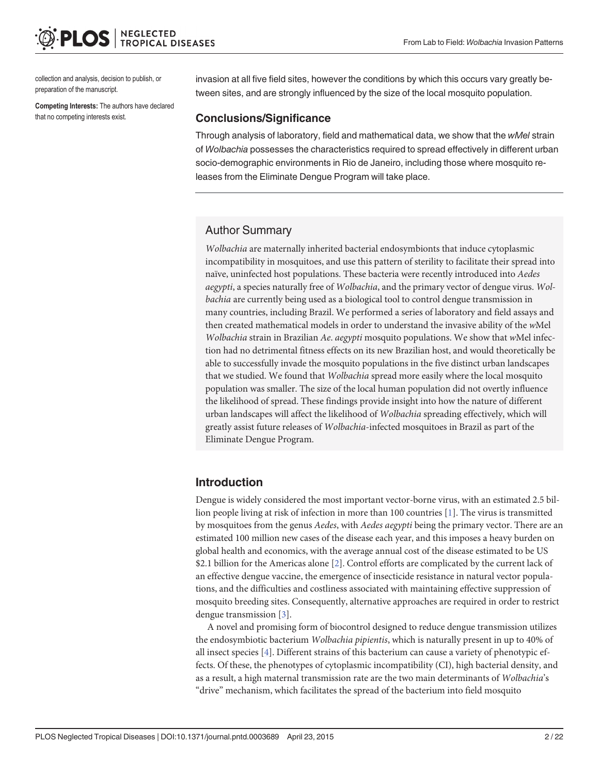<span id="page-1-0"></span>collection and analysis, decision to publish, or preparation of the manuscript.

Competing Interests: The authors have declared that no competing interests exist.

invasion at all five field sites, however the conditions by which this occurs vary greatly between sites, and are strongly influenced by the size of the local mosquito population.

## Conclusions/Significance

Through analysis of laboratory, field and mathematical data, we show that the wMel strain of Wolbachia possesses the characteristics required to spread effectively in different urban socio-demographic environments in Rio de Janeiro, including those where mosquito releases from the Eliminate Dengue Program will take place.

## Author Summary

Wolbachia are maternally inherited bacterial endosymbionts that induce cytoplasmic incompatibility in mosquitoes, and use this pattern of sterility to facilitate their spread into naïve, uninfected host populations. These bacteria were recently introduced into Aedes aegypti, a species naturally free of Wolbachia, and the primary vector of dengue virus. Wolbachia are currently being used as a biological tool to control dengue transmission in many countries, including Brazil. We performed a series of laboratory and field assays and then created mathematical models in order to understand the invasive ability of the wMel Wolbachia strain in Brazilian Ae. aegypti mosquito populations. We show that wMel infection had no detrimental fitness effects on its new Brazilian host, and would theoretically be able to successfully invade the mosquito populations in the five distinct urban landscapes that we studied. We found that Wolbachia spread more easily where the local mosquito population was smaller. The size of the local human population did not overtly influence the likelihood of spread. These findings provide insight into how the nature of different urban landscapes will affect the likelihood of Wolbachia spreading effectively, which will greatly assist future releases of Wolbachia-infected mosquitoes in Brazil as part of the Eliminate Dengue Program.

## Introduction

Dengue is widely considered the most important vector-borne virus, with an estimated 2.5 billion people living at risk of infection in more than 100 countries [[1\]](#page-20-0). The virus is transmitted by mosquitoes from the genus Aedes, with Aedes aegypti being the primary vector. There are an estimated 100 million new cases of the disease each year, and this imposes a heavy burden on global health and economics, with the average annual cost of the disease estimated to be US \$2.1 billion for the Americas alone [\[2\]](#page-20-0). Control efforts are complicated by the current lack of an effective dengue vaccine, the emergence of insecticide resistance in natural vector populations, and the difficulties and costliness associated with maintaining effective suppression of mosquito breeding sites. Consequently, alternative approaches are required in order to restrict dengue transmission [[3\]](#page-20-0).

A novel and promising form of biocontrol designed to reduce dengue transmission utilizes the endosymbiotic bacterium Wolbachia pipientis, which is naturally present in up to 40% of all insect species [\[4\]](#page-20-0). Different strains of this bacterium can cause a variety of phenotypic effects. Of these, the phenotypes of cytoplasmic incompatibility (CI), high bacterial density, and as a result, a high maternal transmission rate are the two main determinants of Wolbachia's "drive" mechanism, which facilitates the spread of the bacterium into field mosquito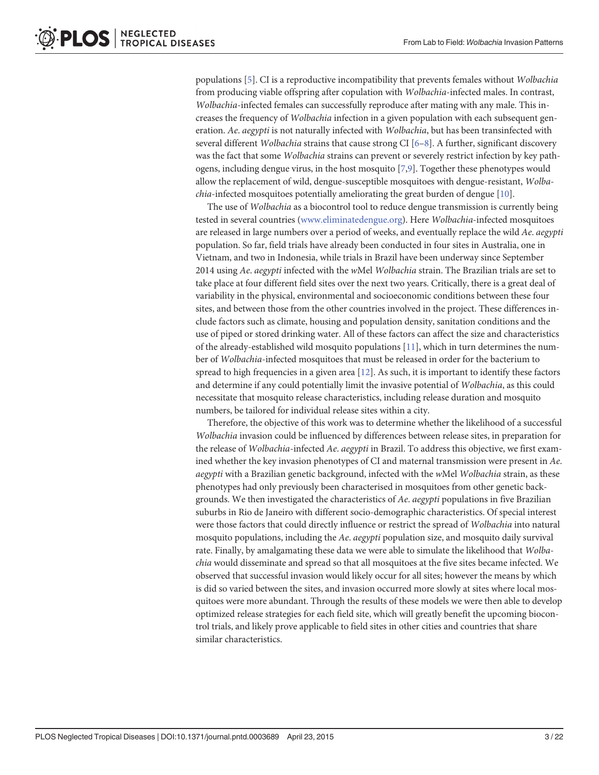<span id="page-2-0"></span>populations [[5\]](#page-20-0). CI is a reproductive incompatibility that prevents females without Wolbachia from producing viable offspring after copulation with Wolbachia-infected males. In contrast, Wolbachia-infected females can successfully reproduce after mating with any male. This increases the frequency of Wolbachia infection in a given population with each subsequent generation. Ae. aegypti is not naturally infected with Wolbachia, but has been transinfected with several different Wolbachia strains that cause strong CI  $[6-8]$  $[6-8]$  $[6-8]$  $[6-8]$ . A further, significant discovery was the fact that some Wolbachia strains can prevent or severely restrict infection by key pathogens, including dengue virus, in the host mosquito  $[7,9]$  $[7,9]$ . Together these phenotypes would allow the replacement of wild, dengue-susceptible mosquitoes with dengue-resistant, Wolba*chia*-infected mosquitoes potentially ameliorating the great burden of dengue  $[10]$ .

The use of *Wolbachia* as a biocontrol tool to reduce dengue transmission is currently being tested in several countries ([www.eliminatedengue.org](http://www.eliminatedengue.org/)). Here Wolbachia-infected mosquitoes are released in large numbers over a period of weeks, and eventually replace the wild Ae. aegypti population. So far, field trials have already been conducted in four sites in Australia, one in Vietnam, and two in Indonesia, while trials in Brazil have been underway since September 2014 using Ae. aegypti infected with the wMel Wolbachia strain. The Brazilian trials are set to take place at four different field sites over the next two years. Critically, there is a great deal of variability in the physical, environmental and socioeconomic conditions between these four sites, and between those from the other countries involved in the project. These differences include factors such as climate, housing and population density, sanitation conditions and the use of piped or stored drinking water. All of these factors can affect the size and characteristics of the already-established wild mosquito populations [\[11\]](#page-20-0), which in turn determines the number of Wolbachia-infected mosquitoes that must be released in order for the bacterium to spread to high frequencies in a given area  $[12]$  $[12]$  $[12]$ . As such, it is important to identify these factors and determine if any could potentially limit the invasive potential of Wolbachia, as this could necessitate that mosquito release characteristics, including release duration and mosquito numbers, be tailored for individual release sites within a city.

Therefore, the objective of this work was to determine whether the likelihood of a successful Wolbachia invasion could be influenced by differences between release sites, in preparation for the release of Wolbachia-infected Ae. aegypti in Brazil. To address this objective, we first examined whether the key invasion phenotypes of CI and maternal transmission were present in Ae. aegypti with a Brazilian genetic background, infected with the wMel Wolbachia strain, as these phenotypes had only previously been characterised in mosquitoes from other genetic backgrounds. We then investigated the characteristics of Ae. aegypti populations in five Brazilian suburbs in Rio de Janeiro with different socio-demographic characteristics. Of special interest were those factors that could directly influence or restrict the spread of Wolbachia into natural mosquito populations, including the Ae. aegypti population size, and mosquito daily survival rate. Finally, by amalgamating these data we were able to simulate the likelihood that Wolbachia would disseminate and spread so that all mosquitoes at the five sites became infected. We observed that successful invasion would likely occur for all sites; however the means by which is did so varied between the sites, and invasion occurred more slowly at sites where local mosquitoes were more abundant. Through the results of these models we were then able to develop optimized release strategies for each field site, which will greatly benefit the upcoming biocontrol trials, and likely prove applicable to field sites in other cities and countries that share similar characteristics.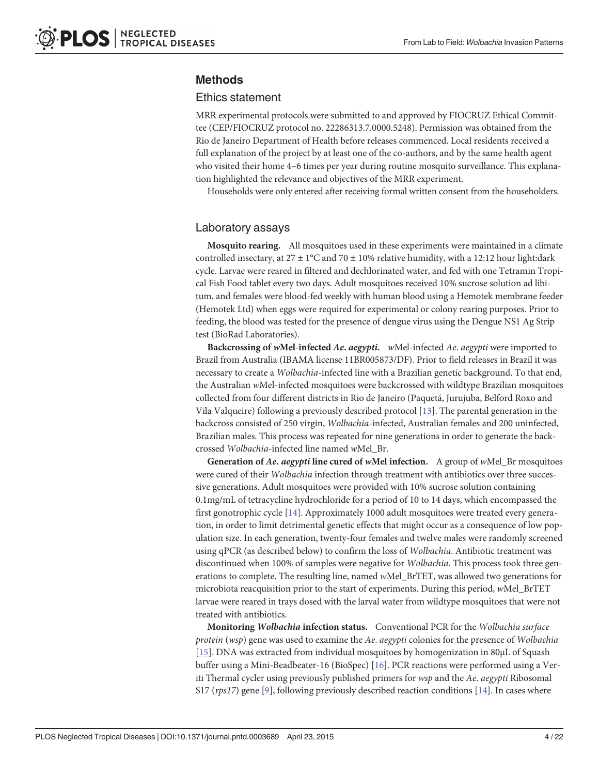## <span id="page-3-0"></span>Methods

#### Ethics statement

MRR experimental protocols were submitted to and approved by FIOCRUZ Ethical Committee (CEP/FIOCRUZ protocol no. 22286313.7.0000.5248). Permission was obtained from the Rio de Janeiro Department of Health before releases commenced. Local residents received a full explanation of the project by at least one of the co-authors, and by the same health agent who visited their home 4–6 times per year during routine mosquito surveillance. This explanation highlighted the relevance and objectives of the MRR experiment.

Households were only entered after receiving formal written consent from the householders.

#### Laboratory assays

Mosquito rearing. All mosquitoes used in these experiments were maintained in a climate controlled insectary, at  $27 \pm 1$ °C and  $70 \pm 10$ % relative humidity, with a 12:12 hour light:dark cycle. Larvae were reared in filtered and dechlorinated water, and fed with one Tetramin Tropical Fish Food tablet every two days. Adult mosquitoes received 10% sucrose solution ad libitum, and females were blood-fed weekly with human blood using a Hemotek membrane feeder (Hemotek Ltd) when eggs were required for experimental or colony rearing purposes. Prior to feeding, the blood was tested for the presence of dengue virus using the Dengue NS1 Ag Strip test (BioRad Laboratories).

Backcrossing of wMel-infected Ae. aegypti. <sup>w</sup>Mel-infected Ae. aegypti were imported to Brazil from Australia (IBAMA license 11BR005873/DF). Prior to field releases in Brazil it was necessary to create a Wolbachia-infected line with a Brazilian genetic background. To that end, the Australian wMel-infected mosquitoes were backcrossed with wildtype Brazilian mosquitoes collected from four different districts in Rio de Janeiro (Paquetá, Jurujuba, Belford Roxo and Vila Valqueire) following a previously described protocol [[13](#page-20-0)]. The parental generation in the backcross consisted of 250 virgin, Wolbachia-infected, Australian females and 200 uninfected, Brazilian males. This process was repeated for nine generations in order to generate the backcrossed Wolbachia-infected line named wMel\_Br.

Generation of Ae. aegypti line cured of wMel infection. A group of wMel\_Br mosquitoes were cured of their Wolbachia infection through treatment with antibiotics over three successive generations. Adult mosquitoes were provided with 10% sucrose solution containing 0.1mg/mL of tetracycline hydrochloride for a period of 10 to 14 days, which encompassed the first gonotrophic cycle [[14](#page-20-0)]. Approximately 1000 adult mosquitoes were treated every generation, in order to limit detrimental genetic effects that might occur as a consequence of low population size. In each generation, twenty-four females and twelve males were randomly screened using qPCR (as described below) to confirm the loss of Wolbachia. Antibiotic treatment was discontinued when 100% of samples were negative for Wolbachia. This process took three generations to complete. The resulting line, named wMel\_BrTET, was allowed two generations for microbiota reacquisition prior to the start of experiments. During this period,  $w$ Mel\_BrTET larvae were reared in trays dosed with the larval water from wildtype mosquitoes that were not treated with antibiotics.

**Monitoring Wolbachia infection status.** Conventional PCR for the Wolbachia surface protein (wsp) gene was used to examine the Ae. aegypti colonies for the presence of Wolbachia [\[15](#page-20-0)]. DNA was extracted from individual mosquitoes by homogenization in 80μL of Squash buffer using a Mini-Beadbeater-16 (BioSpec) [[16\]](#page-20-0). PCR reactions were performed using a Veriti Thermal cycler using previously published primers for wsp and the Ae. aegypti Ribosomal S17 ( $rps17$ ) gene [[9\]](#page-20-0), following previously described reaction conditions [[14](#page-20-0)]. In cases where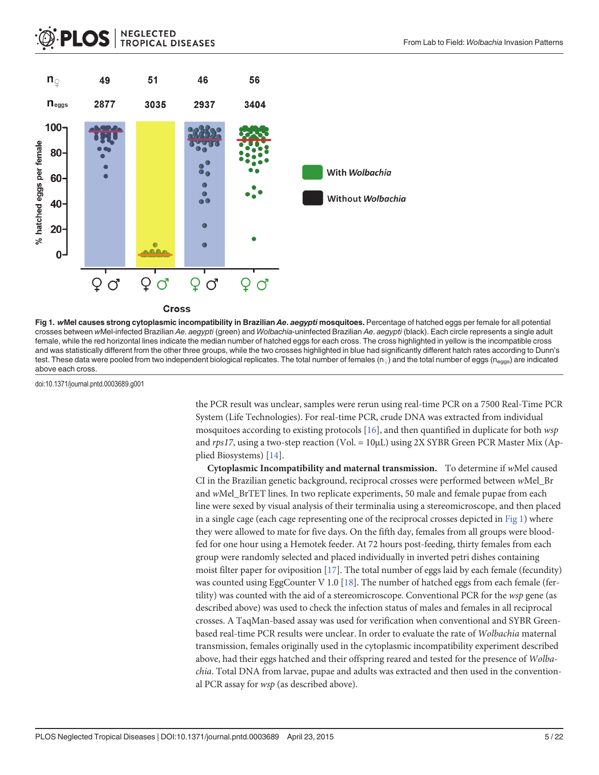<span id="page-4-0"></span>



Fig 1. wMel causes strong cytoplasmic incompatibility in Brazilian Ae. aegypti mosquitoes. Percentage of hatched eggs per female for all potential crosses between wMel-infected Brazilian Ae. aegypti (green) and Wolbachia-uninfected Brazilian Ae. aegypti (black). Each circle represents a single adult female, while the red horizontal lines indicate the median number of hatched eggs for each cross. The cross highlighted in yellow is the incompatible cross and was statistically different from the other three groups, while the two crosses highlighted in blue had significantly different hatch rates according to Dunn's test. These data were pooled from two independent biological replicates. The total number of females ( $n_{\rm e}$ ) and the total number of eggs ( $n_{\rm eggs}$ ) are indicated above each cross.

doi:10.1371/journal.pntd.0003689.g001

the PCR result was unclear, samples were rerun using real-time PCR on a 7500 Real-Time PCR System (Life Technologies). For real-time PCR, crude DNA was extracted from individual mosquitoes according to existing protocols  $[16]$ , and then quantified in duplicate for both  $wsp$ and rps17, using a two-step reaction (Vol. =  $10\mu$ L) using 2X SYBR Green PCR Master Mix (Applied Biosystems) [\[14\]](#page-20-0).

Cytoplasmic Incompatibility and maternal transmission. To determine if wMel caused CI in the Brazilian genetic background, reciprocal crosses were performed between wMel\_Br and wMel\_BrTET lines. In two replicate experiments, 50 male and female pupae from each line were sexed by visual analysis of their terminalia using a stereomicroscope, and then placed in a single cage (each cage representing one of the reciprocal crosses depicted in Fig 1) where they were allowed to mate for five days. On the fifth day, females from all groups were bloodfed for one hour using a Hemotek feeder. At 72 hours post-feeding, thirty females from each group were randomly selected and placed individually in inverted petri dishes containing moist filter paper for oviposition [[17](#page-20-0)]. The total number of eggs laid by each female (fecundity) was counted using EggCounter V 1.0 [[18](#page-20-0)]. The number of hatched eggs from each female (fertility) was counted with the aid of a stereomicroscope. Conventional PCR for the wsp gene (as described above) was used to check the infection status of males and females in all reciprocal crosses. A TaqMan-based assay was used for verification when conventional and SYBR Greenbased real-time PCR results were unclear. In order to evaluate the rate of Wolbachia maternal transmission, females originally used in the cytoplasmic incompatibility experiment described above, had their eggs hatched and their offspring reared and tested for the presence of Wolbachia. Total DNA from larvae, pupae and adults was extracted and then used in the conventional PCR assay for wsp (as described above).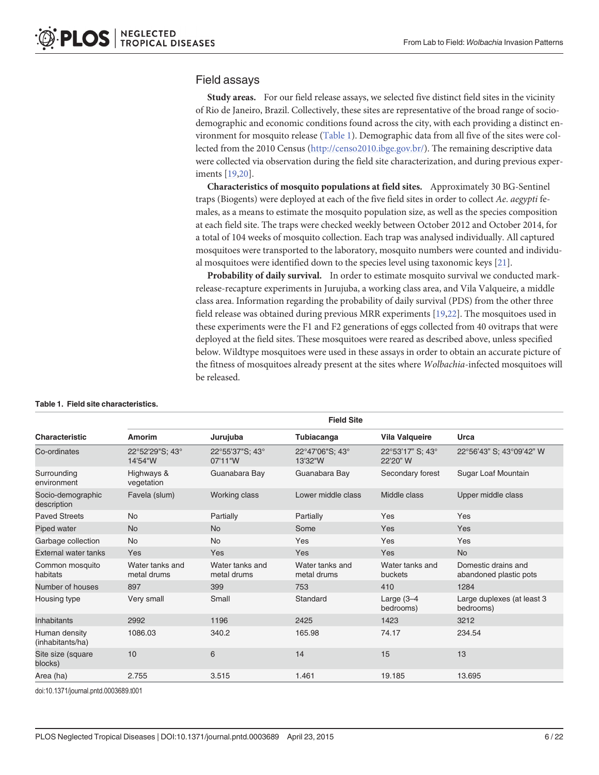#### <span id="page-5-0"></span>Field assays

Study areas. For our field release assays, we selected five distinct field sites in the vicinity of Rio de Janeiro, Brazil. Collectively, these sites are representative of the broad range of sociodemographic and economic conditions found across the city, with each providing a distinct environment for mosquito release (Table 1). Demographic data from all five of the sites were collected from the 2010 Census ([http://censo2010.ibge.gov.br/\)](http://censo2010.ibge.gov.br/). The remaining descriptive data were collected via observation during the field site characterization, and during previous experiments [[19,20](#page-20-0)].

Characteristics of mosquito populations at field sites. Approximately 30 BG-Sentinel traps (Biogents) were deployed at each of the five field sites in order to collect Ae. aegypti females, as a means to estimate the mosquito population size, as well as the species composition at each field site. The traps were checked weekly between October 2012 and October 2014, for a total of 104 weeks of mosquito collection. Each trap was analysed individually. All captured mosquitoes were transported to the laboratory, mosquito numbers were counted and individual mosquitoes were identified down to the species level using taxonomic keys  $[21]$  $[21]$  $[21]$ .

Probability of daily survival. In order to estimate mosquito survival we conducted markrelease-recapture experiments in Jurujuba, a working class area, and Vila Valqueire, a middle class area. Information regarding the probability of daily survival (PDS) from the other three field release was obtained during previous MRR experiments [[19](#page-20-0)[,22\]](#page-21-0). The mosquitoes used in these experiments were the F1 and F2 generations of eggs collected from 40 ovitraps that were deployed at the field sites. These mosquitoes were reared as described above, unless specified below. Wildtype mosquitoes were used in these assays in order to obtain an accurate picture of the fitness of mosquitoes already present at the sites where Wolbachia-infected mosquitoes will be released.

|                                   | <b>Field Site</b>              |                                |                                |                              |                                               |  |
|-----------------------------------|--------------------------------|--------------------------------|--------------------------------|------------------------------|-----------------------------------------------|--|
| <b>Characteristic</b>             | <b>Amorim</b>                  | Jurujuba                       | Tubiacanga                     | <b>Vila Valqueire</b>        | Urca                                          |  |
| Co-ordinates                      | 22°52'29"S; 43°<br>14'54"W     | 22°55'37"S; 43°<br>07'11"W     | 22°47'06"S; 43°<br>13'32"W     | 22°53'17" S: 43°<br>22'20" W | 22°56'43" S; 43°09'42" W                      |  |
| Surrounding<br>environment        | Highways &<br>vegetation       | Guanabara Bay                  | Guanabara Bay                  | Secondary forest             | Sugar Loaf Mountain                           |  |
| Socio-demographic<br>description  | Favela (slum)                  | <b>Working class</b>           | Lower middle class             | Middle class                 | Upper middle class                            |  |
| <b>Paved Streets</b>              | <b>No</b>                      | Partially                      | Partially                      | Yes                          | Yes                                           |  |
| Piped water                       | <b>No</b>                      | <b>No</b>                      | Some                           | Yes                          | Yes                                           |  |
| Garbage collection                | <b>No</b>                      | <b>No</b>                      | Yes                            | Yes                          | Yes                                           |  |
| <b>External water tanks</b>       | Yes                            | Yes                            | Yes                            | Yes                          | <b>No</b>                                     |  |
| Common mosquito<br>habitats       | Water tanks and<br>metal drums | Water tanks and<br>metal drums | Water tanks and<br>metal drums | Water tanks and<br>buckets   | Domestic drains and<br>abandoned plastic pots |  |
| Number of houses                  | 897                            | 399                            | 753                            | 410                          | 1284                                          |  |
| Housing type                      | Very small                     | Small                          | Standard                       | Large $(3-4)$<br>bedrooms)   | Large duplexes (at least 3<br>bedrooms)       |  |
| <b>Inhabitants</b>                | 2992                           | 1196                           | 2425                           | 1423                         | 3212                                          |  |
| Human density<br>(inhabitants/ha) | 1086.03                        | 340.2                          | 165.98                         | 74.17                        | 234.54                                        |  |
| Site size (square<br>blocks)      | 10                             | 6                              | 14                             | 15                           | 13                                            |  |
| Area (ha)                         | 2.755                          | 3.515                          | 1.461                          | 19.185                       | 13.695                                        |  |

doi:10.1371/journal.pntd.0003689.t001

Table 1. Field site characteristics.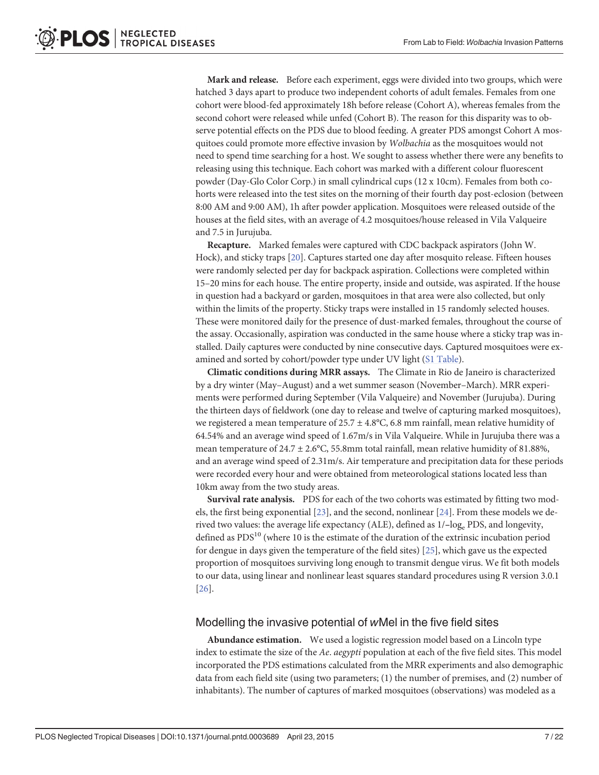<span id="page-6-0"></span>Mark and release. Before each experiment, eggs were divided into two groups, which were hatched 3 days apart to produce two independent cohorts of adult females. Females from one cohort were blood-fed approximately 18h before release (Cohort A), whereas females from the second cohort were released while unfed (Cohort B). The reason for this disparity was to observe potential effects on the PDS due to blood feeding. A greater PDS amongst Cohort A mosquitoes could promote more effective invasion by Wolbachia as the mosquitoes would not need to spend time searching for a host. We sought to assess whether there were any benefits to releasing using this technique. Each cohort was marked with a different colour fluorescent powder (Day-Glo Color Corp.) in small cylindrical cups (12 x 10cm). Females from both cohorts were released into the test sites on the morning of their fourth day post-eclosion (between 8:00 AM and 9:00 AM), 1h after powder application. Mosquitoes were released outside of the houses at the field sites, with an average of 4.2 mosquitoes/house released in Vila Valqueire and 7.5 in Jurujuba.

Recapture. Marked females were captured with CDC backpack aspirators (John W. Hock), and sticky traps [\[20\]](#page-20-0). Captures started one day after mosquito release. Fifteen houses were randomly selected per day for backpack aspiration. Collections were completed within 15–20 mins for each house. The entire property, inside and outside, was aspirated. If the house in question had a backyard or garden, mosquitoes in that area were also collected, but only within the limits of the property. Sticky traps were installed in 15 randomly selected houses. These were monitored daily for the presence of dust-marked females, throughout the course of the assay. Occasionally, aspiration was conducted in the same house where a sticky trap was installed. Daily captures were conducted by nine consecutive days. Captured mosquitoes were examined and sorted by cohort/powder type under UV light ([S1 Table\)](#page-19-0).

Climatic conditions during MRR assays. The Climate in Rio de Janeiro is characterized by a dry winter (May–August) and a wet summer season (November–March). MRR experiments were performed during September (Vila Valqueire) and November (Jurujuba). During the thirteen days of fieldwork (one day to release and twelve of capturing marked mosquitoes), we registered a mean temperature of  $25.7 \pm 4.8$ °C, 6.8 mm rainfall, mean relative humidity of 64.54% and an average wind speed of 1.67m/s in Vila Valqueire. While in Jurujuba there was a mean temperature of  $24.7 \pm 2.6$ °C, 55.8mm total rainfall, mean relative humidity of 81.88%, and an average wind speed of 2.31m/s. Air temperature and precipitation data for these periods were recorded every hour and were obtained from meteorological stations located less than 10km away from the two study areas.

Survival rate analysis. PDS for each of the two cohorts was estimated by fitting two models, the first being exponential [[23](#page-21-0)], and the second, nonlinear [\[24\]](#page-21-0). From these models we derived two values: the average life expectancy (ALE), defined as 1/–loge PDS, and longevity, defined as  $PDS^{10}$  (where 10 is the estimate of the duration of the extrinsic incubation period for dengue in days given the temperature of the field sites) [[25\]](#page-21-0), which gave us the expected proportion of mosquitoes surviving long enough to transmit dengue virus. We fit both models to our data, using linear and nonlinear least squares standard procedures using R version 3.0.1 [\[26](#page-21-0)].

#### Modelling the invasive potential of wMel in the five field sites

Abundance estimation. We used a logistic regression model based on a Lincoln type index to estimate the size of the Ae. aegypti population at each of the five field sites. This model incorporated the PDS estimations calculated from the MRR experiments and also demographic data from each field site (using two parameters; (1) the number of premises, and (2) number of inhabitants). The number of captures of marked mosquitoes (observations) was modeled as a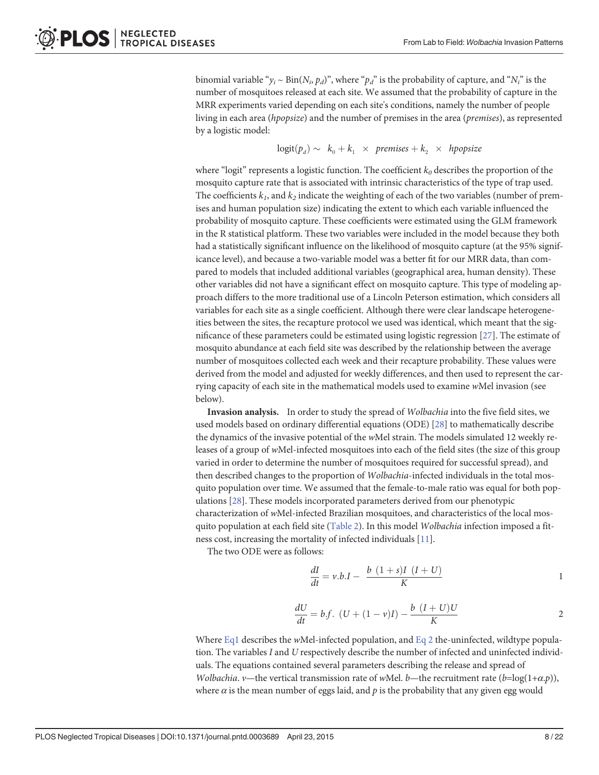<span id="page-7-0"></span>binomial variable " $y_i \sim Bin(N_i, p_d)$ ", where " $p_d$ " is the probability of capture, and " $N_i$ " is the number of mosquitoes released at each site. We assumed that the probability of capture in the MRR experiments varied depending on each site's conditions, namely the number of people living in each area (hpopsize) and the number of premises in the area (premises), as represented by a logistic model:

$$
logit(p_d) \sim k_0 + k_1 \times premiss + k_2 \times hpopsize
$$

where "logit" represents a logistic function. The coefficient  $k_0$  describes the proportion of the mosquito capture rate that is associated with intrinsic characteristics of the type of trap used. The coefficients  $k_1$ , and  $k_2$  indicate the weighting of each of the two variables (number of premises and human population size) indicating the extent to which each variable influenced the probability of mosquito capture. These coefficients were estimated using the GLM framework in the R statistical platform. These two variables were included in the model because they both had a statistically significant influence on the likelihood of mosquito capture (at the 95% significance level), and because a two-variable model was a better fit for our MRR data, than compared to models that included additional variables (geographical area, human density). These other variables did not have a significant effect on mosquito capture. This type of modeling approach differs to the more traditional use of a Lincoln Peterson estimation, which considers all variables for each site as a single coefficient. Although there were clear landscape heterogeneities between the sites, the recapture protocol we used was identical, which meant that the significance of these parameters could be estimated using logistic regression [[27](#page-21-0)]. The estimate of mosquito abundance at each field site was described by the relationship between the average number of mosquitoes collected each week and their recapture probability. These values were derived from the model and adjusted for weekly differences, and then used to represent the carrying capacity of each site in the mathematical models used to examine wMel invasion (see below).

Invasion analysis. In order to study the spread of Wolbachia into the five field sites, we used models based on ordinary differential equations (ODE) [[28](#page-21-0)] to mathematically describe the dynamics of the invasive potential of the wMel strain. The models simulated 12 weekly releases of a group of wMel-infected mosquitoes into each of the field sites (the size of this group varied in order to determine the number of mosquitoes required for successful spread), and then described changes to the proportion of Wolbachia-infected individuals in the total mosquito population over time. We assumed that the female-to-male ratio was equal for both populations [\[28](#page-21-0)]. These models incorporated parameters derived from our phenotypic characterization of wMel-infected Brazilian mosquitoes, and characteristics of the local mos-quito population at each field site [\(Table 2\)](#page-8-0). In this model Wolbachia infection imposed a fitness cost, increasing the mortality of infected individuals [[11](#page-20-0)].

The two ODE were as follows:

$$
\frac{dI}{dt} = v.b.I - \frac{b(1+s)I(I+U)}{K}
$$

$$
\frac{dU}{dt} = b.f. \ \left( U + (1 - v)I \right) - \frac{b \ \left( I + U \right)U}{K}
$$

Where  $Eq1$  describes the wMel-infected population, and  $Eq2$  the-uninfected, wildtype population. The variables I and U respectively describe the number of infected and uninfected individuals. The equations contained several parameters describing the release and spread of Wolbachia. v—the vertical transmission rate of wMel. b—the recruitment rate  $(b=\log(1+\alpha)p)$ , where  $\alpha$  is the mean number of eggs laid, and  $p$  is the probability that any given egg would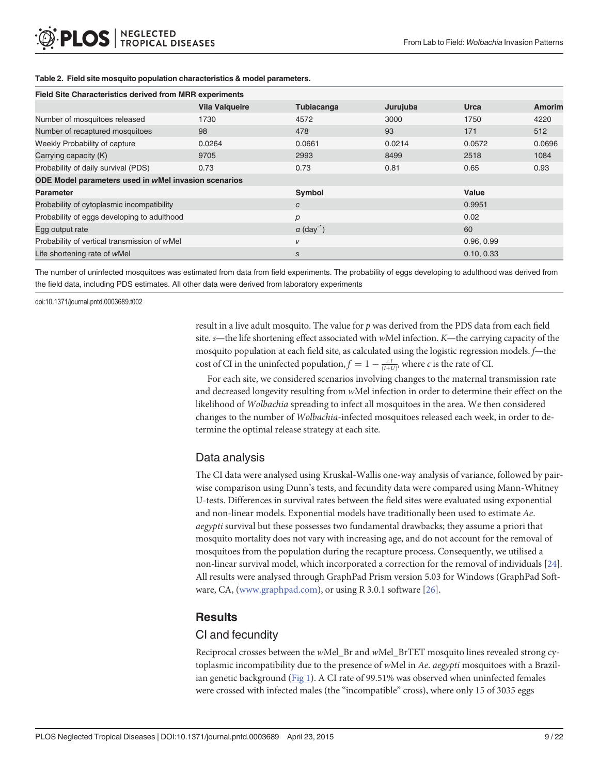| <b>Field Site Characteristics derived from MRR experiments</b> |                       |                               |          |             |        |
|----------------------------------------------------------------|-----------------------|-------------------------------|----------|-------------|--------|
|                                                                | <b>Vila Valqueire</b> | Tubiacanga                    | Jurujuba | <b>Urca</b> | Amorim |
| Number of mosquitoes released                                  | 1730                  | 4572                          | 3000     | 1750        | 4220   |
| Number of recaptured mosquitoes                                | 98                    | 478                           | 93       | 171         | 512    |
| Weekly Probability of capture                                  | 0.0264                | 0.0661                        | 0.0214   | 0.0572      | 0.0696 |
| Carrying capacity (K)                                          | 9705                  | 2993                          | 8499     | 2518        | 1084   |
| Probability of daily survival (PDS)                            | 0.73                  | 0.73                          | 0.81     | 0.65        | 0.93   |
| ODE Model parameters used in wMel invasion scenarios           |                       |                               |          |             |        |
| Parameter                                                      |                       | Symbol                        |          | Value       |        |
| Probability of cytoplasmic incompatibility                     |                       | C                             |          | 0.9951      |        |
| Probability of eggs developing to adulthood                    |                       | р                             |          | 0.02        |        |
| Egg output rate                                                |                       | $\alpha$ (day <sup>-1</sup> ) |          | 60          |        |
| Probability of vertical transmission of wMel                   |                       | V                             |          | 0.96, 0.99  |        |
| Life shortening rate of wMel                                   |                       | $\mbox{\textsc{s}}$           |          | 0.10, 0.33  |        |

#### <span id="page-8-0"></span>[Table 2.](#page-7-0) Field site mosquito population characteristics & model parameters.

The number of uninfected mosquitoes was estimated from data from field experiments. The probability of eggs developing to adulthood was derived from the field data, including PDS estimates. All other data were derived from laboratory experiments

doi:10.1371/journal.pntd.0003689.t002

result in a live adult mosquito. The value for  $p$  was derived from the PDS data from each field site. s—the life shortening effect associated with wMel infection. K—the carrying capacity of the mosquito population at each field site, as calculated using the logistic regression models. f—the cost of CI in the uninfected population,  $f = 1 - \frac{cI}{(I+U)}$ , where c is the rate of CI.

For each site, we considered scenarios involving changes to the maternal transmission rate and decreased longevity resulting from wMel infection in order to determine their effect on the likelihood of Wolbachia spreading to infect all mosquitoes in the area. We then considered changes to the number of Wolbachia-infected mosquitoes released each week, in order to determine the optimal release strategy at each site.

## Data analysis

The CI data were analysed using Kruskal-Wallis one-way analysis of variance, followed by pairwise comparison using Dunn's tests, and fecundity data were compared using Mann-Whitney U-tests. Differences in survival rates between the field sites were evaluated using exponential and non-linear models. Exponential models have traditionally been used to estimate Ae. aegypti survival but these possesses two fundamental drawbacks; they assume a priori that mosquito mortality does not vary with increasing age, and do not account for the removal of mosquitoes from the population during the recapture process. Consequently, we utilised a non-linear survival model, which incorporated a correction for the removal of individuals [[24](#page-21-0)]. All results were analysed through GraphPad Prism version 5.03 for Windows (GraphPad Software, CA, ([www.graphpad.com\)](http://www.graphpad.com/), or using R 3.0.1 software [[26](#page-21-0)].

## **Results**

## CI and fecundity

Reciprocal crosses between the wMel\_Br and wMel\_BrTET mosquito lines revealed strong cytoplasmic incompatibility due to the presence of wMel in Ae. aegypti mosquitoes with a Brazil-ian genetic background [\(Fig 1\)](#page-4-0). A CI rate of 99.51% was observed when uninfected females were crossed with infected males (the "incompatible" cross), where only 15 of 3035 eggs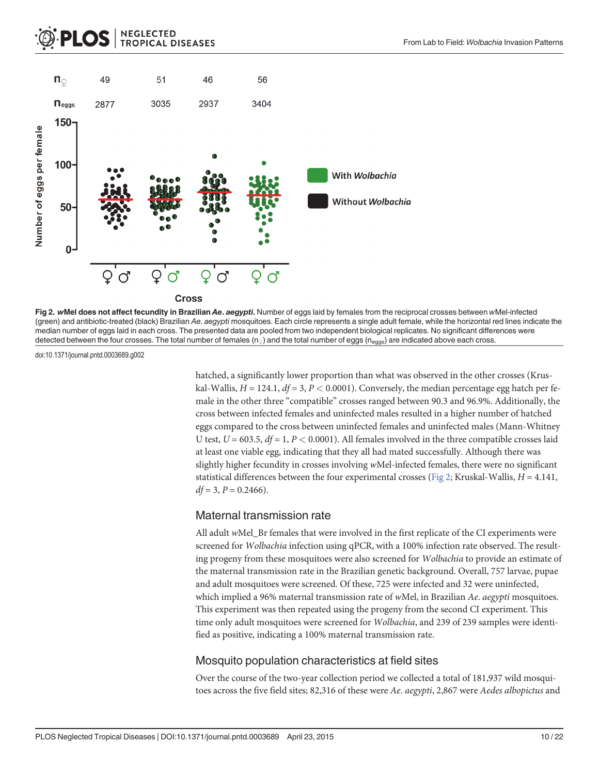## **NEGLECTED TROPICAL DISEASES**





doi:10.1371/journal.pntd.0003689.g002

hatched, a significantly lower proportion than what was observed in the other crosses (Kruskal-Wallis,  $H = 124.1$ ,  $df = 3$ ,  $P < 0.0001$ ). Conversely, the median percentage egg hatch per female in the other three "compatible" crosses ranged between 90.3 and 96.9%. Additionally, the cross between infected females and uninfected males resulted in a higher number of hatched eggs compared to the cross between uninfected females and uninfected males (Mann-Whitney U test,  $U = 603.5$ ,  $df = 1$ ,  $P < 0.0001$ ). All females involved in the three compatible crosses laid at least one viable egg, indicating that they all had mated successfully. Although there was slightly higher fecundity in crosses involving wMel-infected females, there were no significant statistical differences between the four experimental crosses (Fig 2; Kruskal-Wallis,  $H = 4.141$ ,  $df = 3, P = 0.2466$ .

### Maternal transmission rate

All adult wMel\_Br females that were involved in the first replicate of the CI experiments were screened for Wolbachia infection using qPCR, with a 100% infection rate observed. The resulting progeny from these mosquitoes were also screened for Wolbachia to provide an estimate of the maternal transmission rate in the Brazilian genetic background. Overall, 757 larvae, pupae and adult mosquitoes were screened. Of these, 725 were infected and 32 were uninfected, which implied a 96% maternal transmission rate of wMel, in Brazilian Ae. aegypti mosquitoes. This experiment was then repeated using the progeny from the second CI experiment. This time only adult mosquitoes were screened for Wolbachia, and 239 of 239 samples were identified as positive, indicating a 100% maternal transmission rate.

## Mosquito population characteristics at field sites

Over the course of the two-year collection period we collected a total of 181,937 wild mosquitoes across the five field sites; 82,316 of these were Ae. aegypti, 2,867 were Aedes albopictus and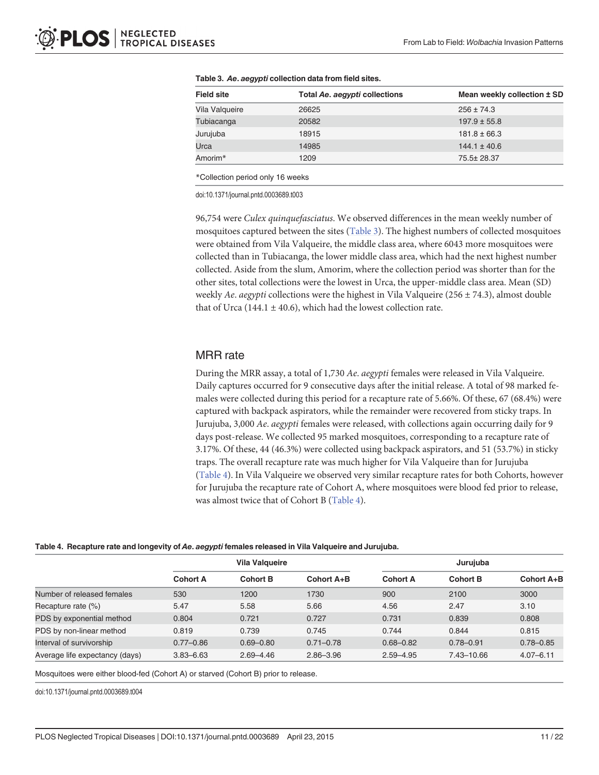| <b>Field site</b>   | Total Ae. aegypti collections | Mean weekly collection ± SD |
|---------------------|-------------------------------|-----------------------------|
| Vila Valqueire      | 26625                         | $256 \pm 74.3$              |
| Tubiacanga          | 20582                         | $197.9 \pm 55.8$            |
| Jurujuba            | 18915                         | $181.8 \pm 66.3$            |
| Urca                | 14985                         | $144.1 \pm 40.6$            |
| Amorim <sup>*</sup> | 1209                          | 75.5± 28.37                 |
|                     |                               |                             |

<span id="page-10-0"></span>

| Table 3. Ae. aegypti collection data from field sites. |  |  |
|--------------------------------------------------------|--|--|
|                                                        |  |  |

\*Collection period only 16 weeks

doi:10.1371/journal.pntd.0003689.t003

96,754 were Culex quinquefasciatus. We observed differences in the mean weekly number of mosquitoes captured between the sites (Table 3). The highest numbers of collected mosquitoes were obtained from Vila Valqueire, the middle class area, where 6043 more mosquitoes were collected than in Tubiacanga, the lower middle class area, which had the next highest number collected. Aside from the slum, Amorim, where the collection period was shorter than for the other sites, total collections were the lowest in Urca, the upper-middle class area. Mean (SD) weekly Ae. aegypti collections were the highest in Vila Valqueire (256  $\pm$  74.3), almost double that of Urca (144.1  $\pm$  40.6), which had the lowest collection rate.

## MRR rate

During the MRR assay, a total of 1,730 Ae. aegypti females were released in Vila Valqueire. Daily captures occurred for 9 consecutive days after the initial release. A total of 98 marked females were collected during this period for a recapture rate of 5.66%. Of these, 67 (68.4%) were captured with backpack aspirators, while the remainder were recovered from sticky traps. In Jurujuba, 3,000 Ae. aegypti females were released, with collections again occurring daily for 9 days post-release. We collected 95 marked mosquitoes, corresponding to a recapture rate of 3.17%. Of these, 44 (46.3%) were collected using backpack aspirators, and 51 (53.7%) in sticky traps. The overall recapture rate was much higher for Vila Valqueire than for Jurujuba (Table 4). In Vila Valqueire we observed very similar recapture rates for both Cohorts, however for Jurujuba the recapture rate of Cohort A, where mosquitoes were blood fed prior to release, was almost twice that of Cohort B (Table 4).

| Table 4. Recapture rate and longevity of <i>Ae. aegypti</i> females released in Vila Valqueire and Jurujuba. |  |
|--------------------------------------------------------------------------------------------------------------|--|
|                                                                                                              |  |

|                                | <b>Vila Valqueire</b> |                 |                   | Jurujuba        |                 |                   |
|--------------------------------|-----------------------|-----------------|-------------------|-----------------|-----------------|-------------------|
|                                | <b>Cohort A</b>       | <b>Cohort B</b> | <b>Cohort A+B</b> | <b>Cohort A</b> | <b>Cohort B</b> | <b>Cohort A+B</b> |
| Number of released females     | 530                   | 1200            | 1730              | 900             | 2100            | 3000              |
| Recapture rate (%)             | 5.47                  | 5.58            | 5.66              | 4.56            | 2.47            | 3.10              |
| PDS by exponential method      | 0.804                 | 0.721           | 0.727             | 0.731           | 0.839           | 0.808             |
| PDS by non-linear method       | 0.819                 | 0.739           | 0.745             | 0.744           | 0.844           | 0.815             |
| Interval of survivorship       | $0.77 - 0.86$         | $0.69 - 0.80$   | $0.71 - 0.78$     | $0.68 - 0.82$   | $0.78 - 0.91$   | $0.78 - 0.85$     |
| Average life expectancy (days) | $3.83 - 6.63$         | $2.69 - 4.46$   | $2.86 - 3.96$     | $2.59 - 4.95$   | 7.43-10.66      | $4.07 - 6.11$     |

Mosquitoes were either blood-fed (Cohort A) or starved (Cohort B) prior to release.

doi:10.1371/journal.pntd.0003689.t004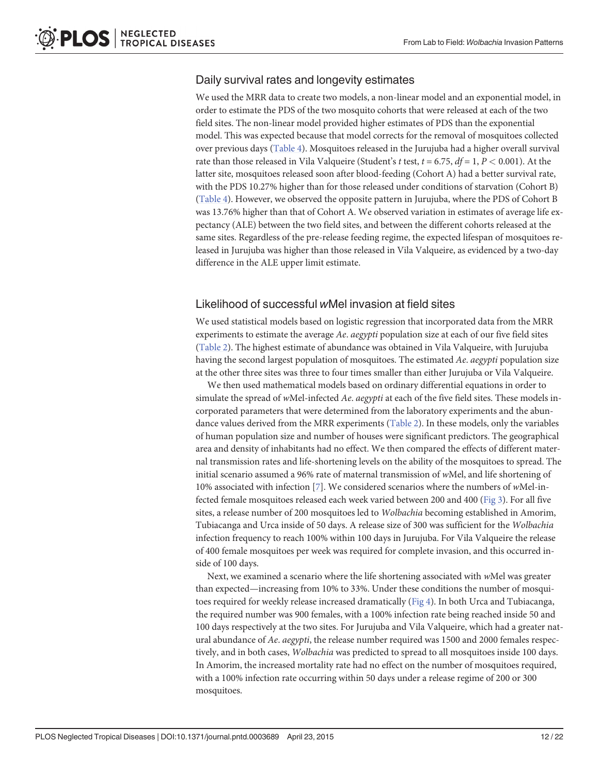## <span id="page-11-0"></span>Daily survival rates and longevity estimates

We used the MRR data to create two models, a non-linear model and an exponential model, in order to estimate the PDS of the two mosquito cohorts that were released at each of the two field sites. The non-linear model provided higher estimates of PDS than the exponential model. This was expected because that model corrects for the removal of mosquitoes collected over previous days [\(Table 4\)](#page-10-0). Mosquitoes released in the Jurujuba had a higher overall survival rate than those released in Vila Valqueire (Student's t test,  $t = 6.75$ ,  $df = 1$ ,  $P < 0.001$ ). At the latter site, mosquitoes released soon after blood-feeding (Cohort A) had a better survival rate, with the PDS 10.27% higher than for those released under conditions of starvation (Cohort B) [\(Table 4\)](#page-10-0). However, we observed the opposite pattern in Jurujuba, where the PDS of Cohort B was 13.76% higher than that of Cohort A. We observed variation in estimates of average life expectancy (ALE) between the two field sites, and between the different cohorts released at the same sites. Regardless of the pre-release feeding regime, the expected lifespan of mosquitoes released in Jurujuba was higher than those released in Vila Valqueire, as evidenced by a two-day difference in the ALE upper limit estimate.

## Likelihood of successful wMel invasion at field sites

We used statistical models based on logistic regression that incorporated data from the MRR experiments to estimate the average Ae. aegypti population size at each of our five field sites [\(Table 2\)](#page-8-0). The highest estimate of abundance was obtained in Vila Valqueire, with Jurujuba having the second largest population of mosquitoes. The estimated Ae. aegypti population size at the other three sites was three to four times smaller than either Jurujuba or Vila Valqueire.

We then used mathematical models based on ordinary differential equations in order to simulate the spread of wMel-infected Ae. aegypti at each of the five field sites. These models incorporated parameters that were determined from the laboratory experiments and the abundance values derived from the MRR experiments ([Table 2\)](#page-8-0). In these models, only the variables of human population size and number of houses were significant predictors. The geographical area and density of inhabitants had no effect. We then compared the effects of different maternal transmission rates and life-shortening levels on the ability of the mosquitoes to spread. The initial scenario assumed a 96% rate of maternal transmission of wMel, and life shortening of 10% associated with infection [[7](#page-20-0)]. We considered scenarios where the numbers of wMel-infected female mosquitoes released each week varied between 200 and 400 [\(Fig 3\)](#page-12-0). For all five sites, a release number of 200 mosquitoes led to Wolbachia becoming established in Amorim, Tubiacanga and Urca inside of 50 days. A release size of 300 was sufficient for the Wolbachia infection frequency to reach 100% within 100 days in Jurujuba. For Vila Valqueire the release of 400 female mosquitoes per week was required for complete invasion, and this occurred inside of 100 days.

Next, we examined a scenario where the life shortening associated with wMel was greater than expected—increasing from 10% to 33%. Under these conditions the number of mosquitoes required for weekly release increased dramatically ([Fig 4](#page-13-0)). In both Urca and Tubiacanga, the required number was 900 females, with a 100% infection rate being reached inside 50 and 100 days respectively at the two sites. For Jurujuba and Vila Valqueire, which had a greater natural abundance of Ae. aegypti, the release number required was 1500 and 2000 females respectively, and in both cases, Wolbachia was predicted to spread to all mosquitoes inside 100 days. In Amorim, the increased mortality rate had no effect on the number of mosquitoes required, with a 100% infection rate occurring within 50 days under a release regime of 200 or 300 mosquitoes.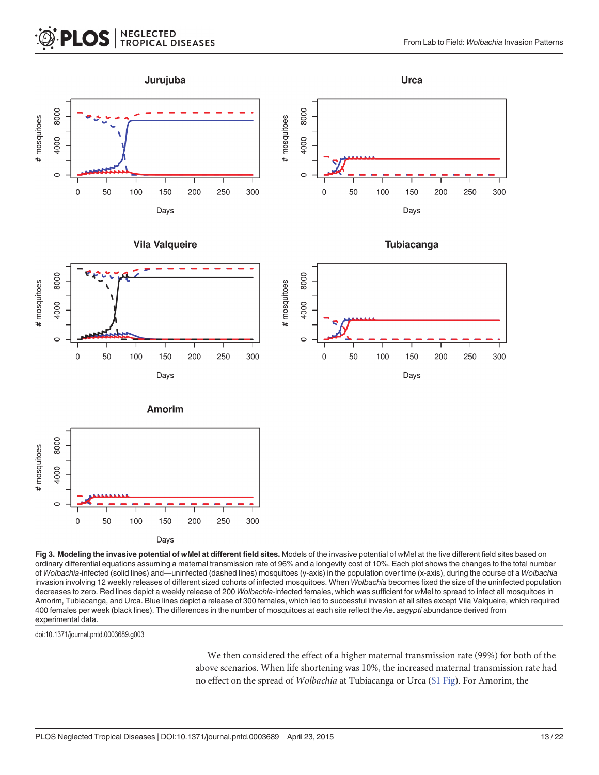<span id="page-12-0"></span>

[Fig 3. M](#page-11-0)odeling the invasive potential of wMel at different field sites. Models of the invasive potential of wMel at the five different field sites based on ordinary differential equations assuming a maternal transmission rate of 96% and a longevity cost of 10%. Each plot shows the changes to the total number of Wolbachia-infected (solid lines) and—uninfected (dashed lines) mosquitoes (y-axis) in the population over time (x-axis), during the course of a Wolbachia invasion involving 12 weekly releases of different sized cohorts of infected mosquitoes. When Wolbachia becomes fixed the size of the uninfected population decreases to zero. Red lines depict a weekly release of 200 Wolbachia-infected females, which was sufficient for wMel to spread to infect all mosquitoes in Amorim, Tubiacanga, and Urca. Blue lines depict a release of 300 females, which led to successful invasion at all sites except Vila Valqueire, which required 400 females per week (black lines). The differences in the number of mosquitoes at each site reflect the Ae. aegypti abundance derived from experimental data.

doi:10.1371/journal.pntd.0003689.g003

We then considered the effect of a higher maternal transmission rate (99%) for both of the above scenarios. When life shortening was 10%, the increased maternal transmission rate had no effect on the spread of Wolbachia at Tubiacanga or Urca [\(S1 Fig](#page-19-0)). For Amorim, the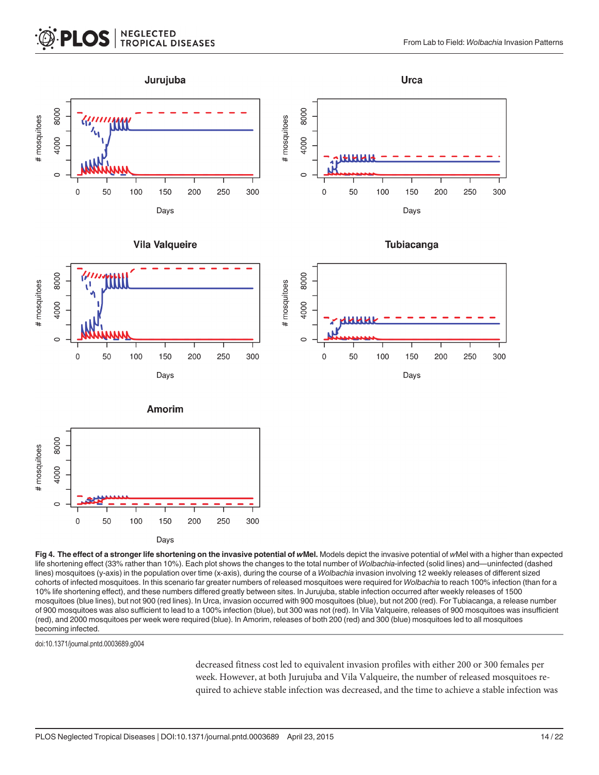<span id="page-13-0"></span>

[Fig 4. T](#page-11-0)he effect of a stronger life shortening on the invasive potential of wMel. Models depict the invasive potential of wMel with a higher than expected life shortening effect (33% rather than 10%). Each plot shows the changes to the total number of Wolbachia-infected (solid lines) and—uninfected (dashed lines) mosquitoes (y-axis) in the population over time (x-axis), during the course of a Wolbachia invasion involving 12 weekly releases of different sized cohorts of infected mosquitoes. In this scenario far greater numbers of released mosquitoes were required for Wolbachia to reach 100% infection (than for a 10% life shortening effect), and these numbers differed greatly between sites. In Jurujuba, stable infection occurred after weekly releases of 1500 mosquitoes (blue lines), but not 900 (red lines). In Urca, invasion occurred with 900 mosquitoes (blue), but not 200 (red). For Tubiacanga, a release number of 900 mosquitoes was also sufficient to lead to a 100% infection (blue), but 300 was not (red). In Vila Valqueire, releases of 900 mosquitoes was insufficient (red), and 2000 mosquitoes per week were required (blue). In Amorim, releases of both 200 (red) and 300 (blue) mosquitoes led to all mosquitoes becoming infected.

doi:10.1371/journal.pntd.0003689.g004

decreased fitness cost led to equivalent invasion profiles with either 200 or 300 females per week. However, at both Jurujuba and Vila Valqueire, the number of released mosquitoes required to achieve stable infection was decreased, and the time to achieve a stable infection was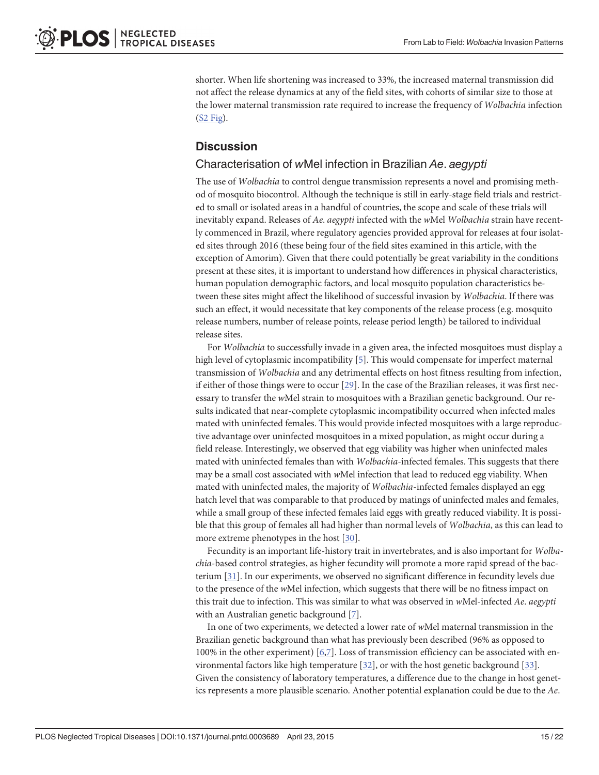<span id="page-14-0"></span>shorter. When life shortening was increased to 33%, the increased maternal transmission did not affect the release dynamics at any of the field sites, with cohorts of similar size to those at the lower maternal transmission rate required to increase the frequency of Wolbachia infection [\(S2 Fig\)](#page-19-0).

## **Discussion**

## Characterisation of wMel infection in Brazilian Ae. aegypti

The use of Wolbachia to control dengue transmission represents a novel and promising method of mosquito biocontrol. Although the technique is still in early-stage field trials and restricted to small or isolated areas in a handful of countries, the scope and scale of these trials will inevitably expand. Releases of Ae. aegypti infected with the wMel Wolbachia strain have recently commenced in Brazil, where regulatory agencies provided approval for releases at four isolated sites through 2016 (these being four of the field sites examined in this article, with the exception of Amorim). Given that there could potentially be great variability in the conditions present at these sites, it is important to understand how differences in physical characteristics, human population demographic factors, and local mosquito population characteristics between these sites might affect the likelihood of successful invasion by Wolbachia. If there was such an effect, it would necessitate that key components of the release process (e.g. mosquito release numbers, number of release points, release period length) be tailored to individual release sites.

For Wolbachia to successfully invade in a given area, the infected mosquitoes must display a high level of cytoplasmic incompatibility [\[5](#page-20-0)]. This would compensate for imperfect maternal transmission of Wolbachia and any detrimental effects on host fitness resulting from infection, if either of those things were to occur  $[29]$ . In the case of the Brazilian releases, it was first necessary to transfer the wMel strain to mosquitoes with a Brazilian genetic background. Our results indicated that near-complete cytoplasmic incompatibility occurred when infected males mated with uninfected females. This would provide infected mosquitoes with a large reproductive advantage over uninfected mosquitoes in a mixed population, as might occur during a field release. Interestingly, we observed that egg viability was higher when uninfected males mated with uninfected females than with Wolbachia-infected females. This suggests that there may be a small cost associated with wMel infection that lead to reduced egg viability. When mated with uninfected males, the majority of Wolbachia-infected females displayed an egg hatch level that was comparable to that produced by matings of uninfected males and females, while a small group of these infected females laid eggs with greatly reduced viability. It is possible that this group of females all had higher than normal levels of Wolbachia, as this can lead to more extreme phenotypes in the host [[30](#page-21-0)].

Fecundity is an important life-history trait in invertebrates, and is also important for Wolbachia-based control strategies, as higher fecundity will promote a more rapid spread of the bacterium [\[31](#page-21-0)]. In our experiments, we observed no significant difference in fecundity levels due to the presence of the wMel infection, which suggests that there will be no fitness impact on this trait due to infection. This was similar to what was observed in wMel-infected Ae. aegypti with an Australian genetic background [\[7](#page-20-0)].

In one of two experiments, we detected a lower rate of  $w$ Mel maternal transmission in the Brazilian genetic background than what has previously been described (96% as opposed to 100% in the other experiment) [[6,7\]](#page-20-0). Loss of transmission efficiency can be associated with environmental factors like high temperature  $[32]$  $[32]$ , or with the host genetic background  $[33]$  $[33]$  $[33]$ . Given the consistency of laboratory temperatures, a difference due to the change in host genetics represents a more plausible scenario. Another potential explanation could be due to the Ae.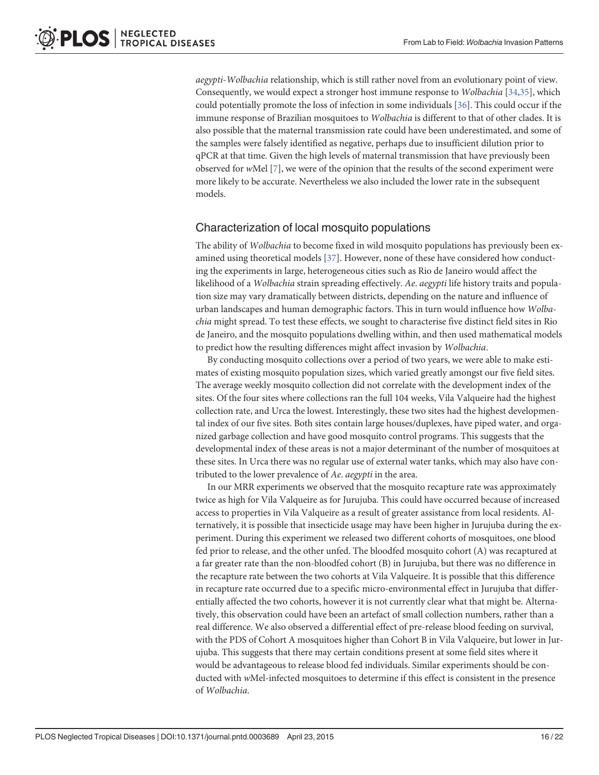<span id="page-15-0"></span>aegypti-Wolbachia relationship, which is still rather novel from an evolutionary point of view. Consequently, we would expect a stronger host immune response to Wolbachia [[34,35](#page-21-0)], which could potentially promote the loss of infection in some individuals [[36](#page-21-0)]. This could occur if the immune response of Brazilian mosquitoes to Wolbachia is different to that of other clades. It is also possible that the maternal transmission rate could have been underestimated, and some of the samples were falsely identified as negative, perhaps due to insufficient dilution prior to qPCR at that time. Given the high levels of maternal transmission that have previously been observed for wMel [\[7](#page-20-0)], we were of the opinion that the results of the second experiment were more likely to be accurate. Nevertheless we also included the lower rate in the subsequent models.

### Characterization of local mosquito populations

The ability of Wolbachia to become fixed in wild mosquito populations has previously been examined using theoretical models [\[37\]](#page-21-0). However, none of these have considered how conducting the experiments in large, heterogeneous cities such as Rio de Janeiro would affect the likelihood of a Wolbachia strain spreading effectively. Ae. aegypti life history traits and population size may vary dramatically between districts, depending on the nature and influence of urban landscapes and human demographic factors. This in turn would influence how Wolbachia might spread. To test these effects, we sought to characterise five distinct field sites in Rio de Janeiro, and the mosquito populations dwelling within, and then used mathematical models to predict how the resulting differences might affect invasion by Wolbachia.

By conducting mosquito collections over a period of two years, we were able to make estimates of existing mosquito population sizes, which varied greatly amongst our five field sites. The average weekly mosquito collection did not correlate with the development index of the sites. Of the four sites where collections ran the full 104 weeks, Vila Valqueire had the highest collection rate, and Urca the lowest. Interestingly, these two sites had the highest developmental index of our five sites. Both sites contain large houses/duplexes, have piped water, and organized garbage collection and have good mosquito control programs. This suggests that the developmental index of these areas is not a major determinant of the number of mosquitoes at these sites. In Urca there was no regular use of external water tanks, which may also have contributed to the lower prevalence of Ae. aegypti in the area.

In our MRR experiments we observed that the mosquito recapture rate was approximately twice as high for Vila Valqueire as for Jurujuba. This could have occurred because of increased access to properties in Vila Valqueire as a result of greater assistance from local residents. Alternatively, it is possible that insecticide usage may have been higher in Jurujuba during the experiment. During this experiment we released two different cohorts of mosquitoes, one blood fed prior to release, and the other unfed. The bloodfed mosquito cohort (A) was recaptured at a far greater rate than the non-bloodfed cohort (B) in Jurujuba, but there was no difference in the recapture rate between the two cohorts at Vila Valqueire. It is possible that this difference in recapture rate occurred due to a specific micro-environmental effect in Jurujuba that differentially affected the two cohorts, however it is not currently clear what that might be. Alternatively, this observation could have been an artefact of small collection numbers, rather than a real difference. We also observed a differential effect of pre-release blood feeding on survival, with the PDS of Cohort A mosquitoes higher than Cohort B in Vila Valqueire, but lower in Jurujuba. This suggests that there may certain conditions present at some field sites where it would be advantageous to release blood fed individuals. Similar experiments should be conducted with wMel-infected mosquitoes to determine if this effect is consistent in the presence of Wolbachia.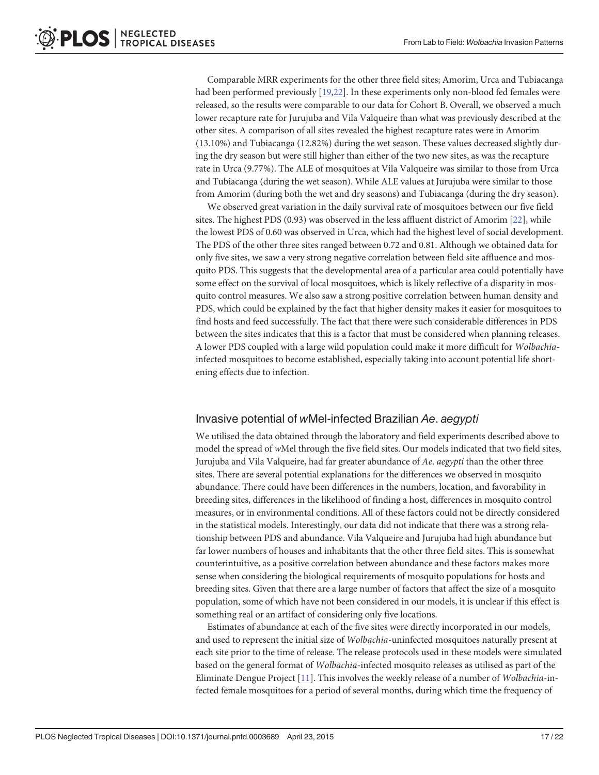Comparable MRR experiments for the other three field sites; Amorim, Urca and Tubiacanga had been performed previously [\[19,](#page-20-0)[22\]](#page-21-0). In these experiments only non-blood fed females were released, so the results were comparable to our data for Cohort B. Overall, we observed a much lower recapture rate for Jurujuba and Vila Valqueire than what was previously described at the other sites. A comparison of all sites revealed the highest recapture rates were in Amorim (13.10%) and Tubiacanga (12.82%) during the wet season. These values decreased slightly during the dry season but were still higher than either of the two new sites, as was the recapture rate in Urca (9.77%). The ALE of mosquitoes at Vila Valqueire was similar to those from Urca and Tubiacanga (during the wet season). While ALE values at Jurujuba were similar to those from Amorim (during both the wet and dry seasons) and Tubiacanga (during the dry season).

We observed great variation in the daily survival rate of mosquitoes between our five field sites. The highest PDS (0.93) was observed in the less affluent district of Amorim [[22](#page-21-0)], while the lowest PDS of 0.60 was observed in Urca, which had the highest level of social development. The PDS of the other three sites ranged between 0.72 and 0.81. Although we obtained data for only five sites, we saw a very strong negative correlation between field site affluence and mosquito PDS. This suggests that the developmental area of a particular area could potentially have some effect on the survival of local mosquitoes, which is likely reflective of a disparity in mosquito control measures. We also saw a strong positive correlation between human density and PDS, which could be explained by the fact that higher density makes it easier for mosquitoes to find hosts and feed successfully. The fact that there were such considerable differences in PDS between the sites indicates that this is a factor that must be considered when planning releases. A lower PDS coupled with a large wild population could make it more difficult for Wolbachiainfected mosquitoes to become established, especially taking into account potential life shortening effects due to infection.

### Invasive potential of wMel-infected Brazilian Ae. aegypti

We utilised the data obtained through the laboratory and field experiments described above to model the spread of wMel through the five field sites. Our models indicated that two field sites, Jurujuba and Vila Valqueire, had far greater abundance of Ae. aegypti than the other three sites. There are several potential explanations for the differences we observed in mosquito abundance. There could have been differences in the numbers, location, and favorability in breeding sites, differences in the likelihood of finding a host, differences in mosquito control measures, or in environmental conditions. All of these factors could not be directly considered in the statistical models. Interestingly, our data did not indicate that there was a strong relationship between PDS and abundance. Vila Valqueire and Jurujuba had high abundance but far lower numbers of houses and inhabitants that the other three field sites. This is somewhat counterintuitive, as a positive correlation between abundance and these factors makes more sense when considering the biological requirements of mosquito populations for hosts and breeding sites. Given that there are a large number of factors that affect the size of a mosquito population, some of which have not been considered in our models, it is unclear if this effect is something real or an artifact of considering only five locations.

Estimates of abundance at each of the five sites were directly incorporated in our models, and used to represent the initial size of Wolbachia-uninfected mosquitoes naturally present at each site prior to the time of release. The release protocols used in these models were simulated based on the general format of Wolbachia-infected mosquito releases as utilised as part of the Eliminate Dengue Project [[11](#page-20-0)]. This involves the weekly release of a number of Wolbachia-infected female mosquitoes for a period of several months, during which time the frequency of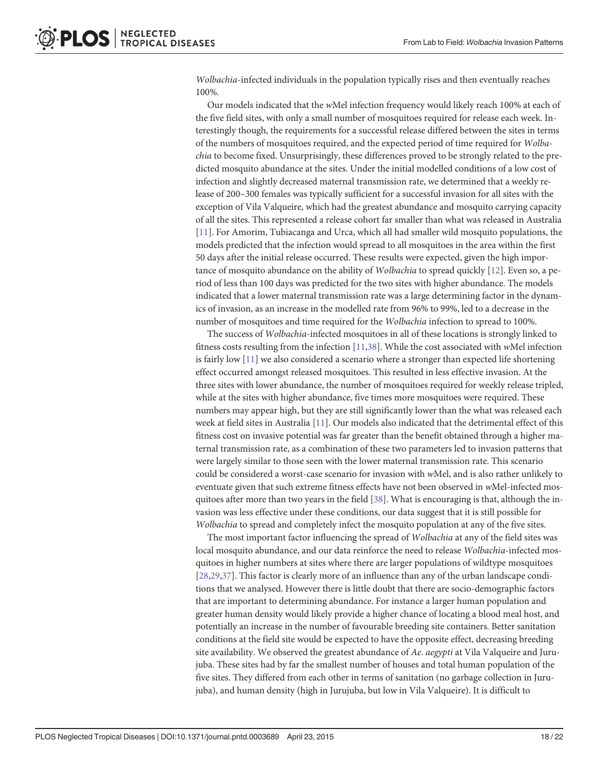<span id="page-17-0"></span>Wolbachia-infected individuals in the population typically rises and then eventually reaches 100%.

Our models indicated that the wMel infection frequency would likely reach 100% at each of the five field sites, with only a small number of mosquitoes required for release each week. Interestingly though, the requirements for a successful release differed between the sites in terms of the numbers of mosquitoes required, and the expected period of time required for Wolbachia to become fixed. Unsurprisingly, these differences proved to be strongly related to the predicted mosquito abundance at the sites. Under the initial modelled conditions of a low cost of infection and slightly decreased maternal transmission rate, we determined that a weekly release of 200–300 females was typically sufficient for a successful invasion for all sites with the exception of Vila Valqueire, which had the greatest abundance and mosquito carrying capacity of all the sites. This represented a release cohort far smaller than what was released in Australia [\[11](#page-20-0)]. For Amorim, Tubiacanga and Urca, which all had smaller wild mosquito populations, the models predicted that the infection would spread to all mosquitoes in the area within the first 50 days after the initial release occurred. These results were expected, given the high importance of mosquito abundance on the ability of Wolbachia to spread quickly [[12](#page-20-0)]. Even so, a period of less than 100 days was predicted for the two sites with higher abundance. The models indicated that a lower maternal transmission rate was a large determining factor in the dynamics of invasion, as an increase in the modelled rate from 96% to 99%, led to a decrease in the number of mosquitoes and time required for the Wolbachia infection to spread to 100%.

The success of Wolbachia-infected mosquitoes in all of these locations is strongly linked to fitness costs resulting from the infection [[11,](#page-20-0)[38](#page-21-0)]. While the cost associated with wMel infection is fairly low  $[11]$  we also considered a scenario where a stronger than expected life shortening effect occurred amongst released mosquitoes. This resulted in less effective invasion. At the three sites with lower abundance, the number of mosquitoes required for weekly release tripled, while at the sites with higher abundance, five times more mosquitoes were required. These numbers may appear high, but they are still significantly lower than the what was released each week at field sites in Australia [[11\]](#page-20-0). Our models also indicated that the detrimental effect of this fitness cost on invasive potential was far greater than the benefit obtained through a higher maternal transmission rate, as a combination of these two parameters led to invasion patterns that were largely similar to those seen with the lower maternal transmission rate. This scenario could be considered a worst-case scenario for invasion with wMel, and is also rather unlikely to eventuate given that such extreme fitness effects have not been observed in wMel-infected mosquitoes after more than two years in the field  $[38]$ . What is encouraging is that, although the invasion was less effective under these conditions, our data suggest that it is still possible for Wolbachia to spread and completely infect the mosquito population at any of the five sites.

The most important factor influencing the spread of Wolbachia at any of the field sites was local mosquito abundance, and our data reinforce the need to release Wolbachia-infected mosquitoes in higher numbers at sites where there are larger populations of wildtype mosquitoes [\[28,29,37\]](#page-21-0). This factor is clearly more of an influence than any of the urban landscape conditions that we analysed. However there is little doubt that there are socio-demographic factors that are important to determining abundance. For instance a larger human population and greater human density would likely provide a higher chance of locating a blood meal host, and potentially an increase in the number of favourable breeding site containers. Better sanitation conditions at the field site would be expected to have the opposite effect, decreasing breeding site availability. We observed the greatest abundance of Ae. aegypti at Vila Valqueire and Jurujuba. These sites had by far the smallest number of houses and total human population of the five sites. They differed from each other in terms of sanitation (no garbage collection in Jurujuba), and human density (high in Jurujuba, but low in Vila Valqueire). It is difficult to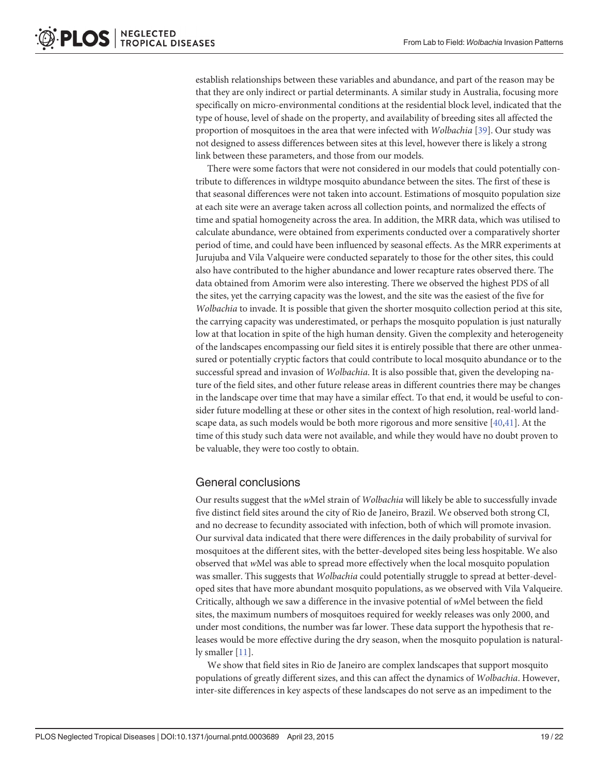<span id="page-18-0"></span>establish relationships between these variables and abundance, and part of the reason may be that they are only indirect or partial determinants. A similar study in Australia, focusing more specifically on micro-environmental conditions at the residential block level, indicated that the type of house, level of shade on the property, and availability of breeding sites all affected the proportion of mosquitoes in the area that were infected with Wolbachia [[39](#page-21-0)]. Our study was not designed to assess differences between sites at this level, however there is likely a strong link between these parameters, and those from our models.

There were some factors that were not considered in our models that could potentially contribute to differences in wildtype mosquito abundance between the sites. The first of these is that seasonal differences were not taken into account. Estimations of mosquito population size at each site were an average taken across all collection points, and normalized the effects of time and spatial homogeneity across the area. In addition, the MRR data, which was utilised to calculate abundance, were obtained from experiments conducted over a comparatively shorter period of time, and could have been influenced by seasonal effects. As the MRR experiments at Jurujuba and Vila Valqueire were conducted separately to those for the other sites, this could also have contributed to the higher abundance and lower recapture rates observed there. The data obtained from Amorim were also interesting. There we observed the highest PDS of all the sites, yet the carrying capacity was the lowest, and the site was the easiest of the five for Wolbachia to invade. It is possible that given the shorter mosquito collection period at this site, the carrying capacity was underestimated, or perhaps the mosquito population is just naturally low at that location in spite of the high human density. Given the complexity and heterogeneity of the landscapes encompassing our field sites it is entirely possible that there are other unmeasured or potentially cryptic factors that could contribute to local mosquito abundance or to the successful spread and invasion of Wolbachia. It is also possible that, given the developing nature of the field sites, and other future release areas in different countries there may be changes in the landscape over time that may have a similar effect. To that end, it would be useful to consider future modelling at these or other sites in the context of high resolution, real-world landscape data, as such models would be both more rigorous and more sensitive  $[40,41]$ . At the time of this study such data were not available, and while they would have no doubt proven to be valuable, they were too costly to obtain.

### General conclusions

Our results suggest that the wMel strain of Wolbachia will likely be able to successfully invade five distinct field sites around the city of Rio de Janeiro, Brazil. We observed both strong CI, and no decrease to fecundity associated with infection, both of which will promote invasion. Our survival data indicated that there were differences in the daily probability of survival for mosquitoes at the different sites, with the better-developed sites being less hospitable. We also observed that wMel was able to spread more effectively when the local mosquito population was smaller. This suggests that Wolbachia could potentially struggle to spread at better-developed sites that have more abundant mosquito populations, as we observed with Vila Valqueire. Critically, although we saw a difference in the invasive potential of  $w$ Mel between the field sites, the maximum numbers of mosquitoes required for weekly releases was only 2000, and under most conditions, the number was far lower. These data support the hypothesis that releases would be more effective during the dry season, when the mosquito population is naturally smaller [[11\]](#page-20-0).

We show that field sites in Rio de Janeiro are complex landscapes that support mosquito populations of greatly different sizes, and this can affect the dynamics of Wolbachia. However, inter-site differences in key aspects of these landscapes do not serve as an impediment to the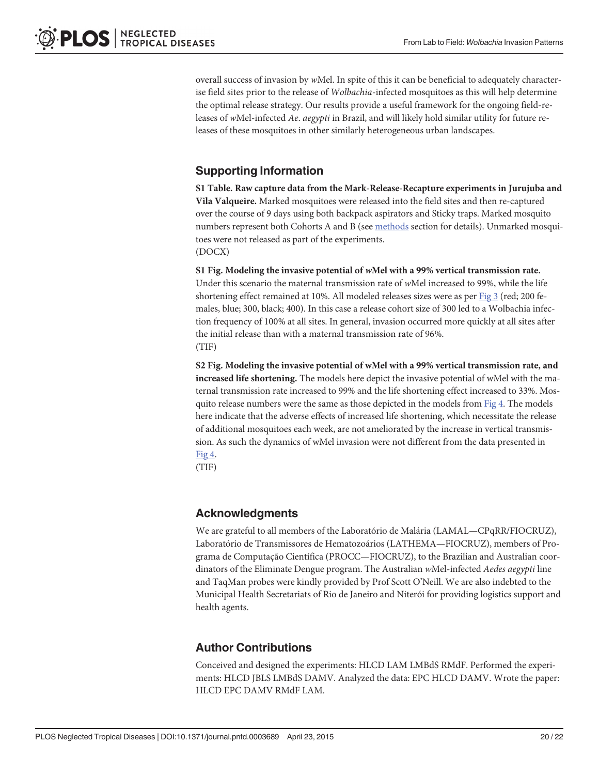<span id="page-19-0"></span>overall success of invasion by wMel. In spite of this it can be beneficial to adequately characterise field sites prior to the release of Wolbachia-infected mosquitoes as this will help determine the optimal release strategy. Our results provide a useful framework for the ongoing field-releases of wMel-infected Ae. aegypti in Brazil, and will likely hold similar utility for future releases of these mosquitoes in other similarly heterogeneous urban landscapes.

## Supporting Information

[S1 Table](http://www.plosone.org/article/fetchSingleRepresentation.action?uri=info:doi/10.1371/journal.pntd.0003689.s001). Raw capture data from the Mark-Release-Recapture experiments in Jurujuba and Vila Valqueire. Marked mosquitoes were released into the field sites and then re-captured over the course of 9 days using both backpack aspirators and Sticky traps. Marked mosquito numbers represent both Cohorts A and B (see [methods](#page-3-0) section for details). Unmarked mosquitoes were not released as part of the experiments. (DOCX)

[S1 Fig.](http://www.plosone.org/article/fetchSingleRepresentation.action?uri=info:doi/10.1371/journal.pntd.0003689.s002) Modeling the invasive potential of wMel with a 99% vertical transmission rate. Under this scenario the maternal transmission rate of wMel increased to 99%, while the life shortening effect remained at 10%. All modeled releases sizes were as per [Fig 3](#page-12-0) (red; 200 females, blue; 300, black; 400). In this case a release cohort size of 300 led to a Wolbachia infection frequency of 100% at all sites. In general, invasion occurred more quickly at all sites after the initial release than with a maternal transmission rate of 96%. (TIF)

[S2 Fig.](http://www.plosone.org/article/fetchSingleRepresentation.action?uri=info:doi/10.1371/journal.pntd.0003689.s003) Modeling the invasive potential of wMel with a 99% vertical transmission rate, and increased life shortening. The models here depict the invasive potential of wMel with the maternal transmission rate increased to 99% and the life shortening effect increased to 33%. Mos-quito release numbers were the same as those depicted in the models from [Fig 4](#page-13-0). The models here indicate that the adverse effects of increased life shortening, which necessitate the release of additional mosquitoes each week, are not ameliorated by the increase in vertical transmission. As such the dynamics of wMel invasion were not different from the data presented in Fig  $4$ .

(TIF)

## Acknowledgments

We are grateful to all members of the Laboratório de Malária (LAMAL—CPqRR/FIOCRUZ), Laboratório de Transmissores de Hematozoários (LATHEMA—FIOCRUZ), members of Programa de Computação Científica (PROCC—FIOCRUZ), to the Brazilian and Australian coordinators of the Eliminate Dengue program. The Australian wMel-infected Aedes aegypti line and TaqMan probes were kindly provided by Prof Scott O'Neill. We are also indebted to the Municipal Health Secretariats of Rio de Janeiro and Niterói for providing logistics support and health agents.

## Author Contributions

Conceived and designed the experiments: HLCD LAM LMBdS RMdF. Performed the experiments: HLCD JBLS LMBdS DAMV. Analyzed the data: EPC HLCD DAMV. Wrote the paper: HLCD EPC DAMV RMdF LAM.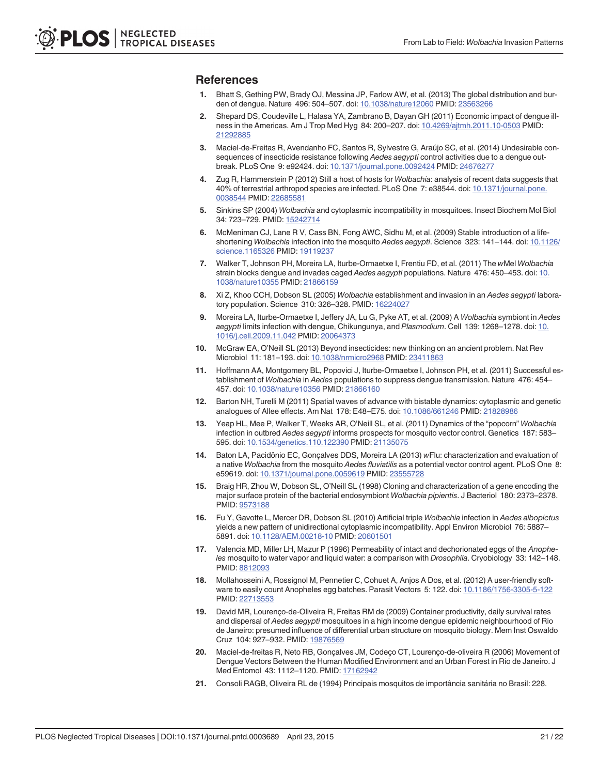#### <span id="page-20-0"></span>References

- [1.](#page-1-0) Bhatt S, Gething PW, Brady OJ, Messina JP, Farlow AW, et al. (2013) The global distribution and burden of dengue. Nature 496: 504–507. doi: [10.1038/nature12060](http://dx.doi.org/10.1038/nature12060) PMID: [23563266](http://www.ncbi.nlm.nih.gov/pubmed/23563266)
- [2.](#page-1-0) Shepard DS, Coudeville L, Halasa YA, Zambrano B, Dayan GH (2011) Economic impact of dengue illness in the Americas. Am J Trop Med Hyg 84: 200–207. doi: [10.4269/ajtmh.2011.10-0503](http://dx.doi.org/10.4269/ajtmh.2011.10-0503) PMID: [21292885](http://www.ncbi.nlm.nih.gov/pubmed/21292885)
- [3.](#page-1-0) Maciel-de-Freitas R, Avendanho FC, Santos R, Sylvestre G, Araújo SC, et al. (2014) Undesirable consequences of insecticide resistance following Aedes aegypti control activities due to a dengue outbreak. PLoS One 9: e92424. doi: [10.1371/journal.pone.0092424](http://dx.doi.org/10.1371/journal.pone.0092424) PMID: [24676277](http://www.ncbi.nlm.nih.gov/pubmed/24676277)
- [4.](#page-1-0) Zug R, Hammerstein P (2012) Still a host of hosts for Wolbachia: analysis of recent data suggests that 40% of terrestrial arthropod species are infected. PLoS One 7: e38544. doi: [10.1371/journal.pone.](http://dx.doi.org/10.1371/journal.pone.0038544) [0038544](http://dx.doi.org/10.1371/journal.pone.0038544) PMID: [22685581](http://www.ncbi.nlm.nih.gov/pubmed/22685581)
- [5.](#page-2-0) Sinkins SP (2004) Wolbachia and cytoplasmic incompatibility in mosquitoes. Insect Biochem Mol Biol 34: 723–729. PMID: [15242714](http://www.ncbi.nlm.nih.gov/pubmed/15242714)
- [6.](#page-2-0) McMeniman CJ, Lane R V, Cass BN, Fong AWC, Sidhu M, et al. (2009) Stable introduction of a life-shortening Wolbachia infection into the mosquito Aedes aegypti. Science 323: 141-144. doi: [10.1126/](http://dx.doi.org/10.1126/science.1165326) [science.1165326](http://dx.doi.org/10.1126/science.1165326) PMID: [19119237](http://www.ncbi.nlm.nih.gov/pubmed/19119237)
- [7.](#page-2-0) Walker T, Johnson PH, Moreira LA, Iturbe-Ormaetxe I, Frentiu FD, et al. (2011) The wMel Wolbachia strain blocks dengue and invades caged Aedes aegypti populations. Nature 476: 450-453. doi: [10.](http://dx.doi.org/10.1038/nature10355) [1038/nature10355](http://dx.doi.org/10.1038/nature10355) PMID: [21866159](http://www.ncbi.nlm.nih.gov/pubmed/21866159)
- [8.](#page-2-0) Xi Z, Khoo CCH, Dobson SL (2005) Wolbachia establishment and invasion in an Aedes aegypti laboratory population. Science 310: 326–328. PMID: [16224027](http://www.ncbi.nlm.nih.gov/pubmed/16224027)
- [9.](#page-2-0) Moreira LA, Iturbe-Ormaetxe I, Jeffery JA, Lu G, Pyke AT, et al. (2009) A Wolbachia symbiont in Aedes aegypti limits infection with dengue, Chikungunya, and Plasmodium. Cell 139: 1268-1278. doi: [10.](http://dx.doi.org/10.1016/j.cell.2009.11.042) [1016/j.cell.2009.11.042](http://dx.doi.org/10.1016/j.cell.2009.11.042) PMID: [20064373](http://www.ncbi.nlm.nih.gov/pubmed/20064373)
- [10.](#page-2-0) McGraw EA, O'Neill SL (2013) Beyond insecticides: new thinking on an ancient problem. Nat Rev Microbiol 11: 181–193. doi: [10.1038/nrmicro2968](http://dx.doi.org/10.1038/nrmicro2968) PMID: [23411863](http://www.ncbi.nlm.nih.gov/pubmed/23411863)
- [11.](#page-2-0) Hoffmann AA, Montgomery BL, Popovici J, Iturbe-Ormaetxe I, Johnson PH, et al. (2011) Successful establishment of Wolbachia in Aedes populations to suppress dengue transmission. Nature 476: 454– 457. doi: [10.1038/nature10356](http://dx.doi.org/10.1038/nature10356) PMID: [21866160](http://www.ncbi.nlm.nih.gov/pubmed/21866160)
- [12.](#page-2-0) Barton NH, Turelli M (2011) Spatial waves of advance with bistable dynamics: cytoplasmic and genetic analogues of Allee effects. Am Nat 178: E48–E75. doi: [10.1086/661246](http://dx.doi.org/10.1086/661246) PMID: [21828986](http://www.ncbi.nlm.nih.gov/pubmed/21828986)
- [13.](#page-3-0) Yeap HL, Mee P, Walker T, Weeks AR, O'Neill SL, et al. (2011) Dynamics of the "popcorn" Wolbachia infection in outbred Aedes aegypti informs prospects for mosquito vector control. Genetics 187: 583– 595. doi: [10.1534/genetics.110.122390](http://dx.doi.org/10.1534/genetics.110.122390) PMID: [21135075](http://www.ncbi.nlm.nih.gov/pubmed/21135075)
- [14.](#page-3-0) Baton LA, Pacidônio EC, Gonçalves DDS, Moreira LA (2013) wFlu: characterization and evaluation of a native Wolbachia from the mosquito Aedes fluviatilis as a potential vector control agent. PLoS One 8: e59619. doi: [10.1371/journal.pone.0059619](http://dx.doi.org/10.1371/journal.pone.0059619) PMID: [23555728](http://www.ncbi.nlm.nih.gov/pubmed/23555728)
- [15.](#page-3-0) Braig HR, Zhou W, Dobson SL, O'Neill SL (1998) Cloning and characterization of a gene encoding the major surface protein of the bacterial endosymbiont Wolbachia pipientis. J Bacteriol 180: 2373–2378. PMID: [9573188](http://www.ncbi.nlm.nih.gov/pubmed/9573188)
- [16.](#page-3-0) Fu Y, Gavotte L, Mercer DR, Dobson SL (2010) Artificial triple Wolbachia infection in Aedes albopictus yields a new pattern of unidirectional cytoplasmic incompatibility. Appl Environ Microbiol 76: 5887– 5891. doi: [10.1128/AEM.00218-10](http://dx.doi.org/10.1128/AEM.00218-10) PMID: [20601501](http://www.ncbi.nlm.nih.gov/pubmed/20601501)
- [17.](#page-4-0) Valencia MD, Miller LH, Mazur P (1996) Permeability of intact and dechorionated eggs of the Anopheles mosquito to water vapor and liquid water: a comparison with Drosophila. Cryobiology 33: 142–148. PMID: [8812093](http://www.ncbi.nlm.nih.gov/pubmed/8812093)
- [18.](#page-4-0) Mollahosseini A, Rossignol M, Pennetier C, Cohuet A, Anjos A Dos, et al. (2012) A user-friendly software to easily count Anopheles egg batches. Parasit Vectors 5: 122. doi: [10.1186/1756-3305-5-122](http://dx.doi.org/10.1186/1756-3305-5-122) PMID: [22713553](http://www.ncbi.nlm.nih.gov/pubmed/22713553)
- [19.](#page-5-0) David MR, Lourenço-de-Oliveira R, Freitas RM de (2009) Container productivity, daily survival rates and dispersal of Aedes aegypti mosquitoes in a high income dengue epidemic neighbourhood of Rio de Janeiro: presumed influence of differential urban structure on mosquito biology. Mem Inst Oswaldo Cruz 104: 927–932. PMID: [19876569](http://www.ncbi.nlm.nih.gov/pubmed/19876569)
- [20.](#page-5-0) Maciel-de-freitas R, Neto RB, Gonçalves JM, Codeço CT, Lourenço-de-oliveira R (2006) Movement of Dengue Vectors Between the Human Modified Environment and an Urban Forest in Rio de Janeiro. J Med Entomol 43: 1112–1120. PMID: [17162942](http://www.ncbi.nlm.nih.gov/pubmed/17162942)
- [21.](#page-5-0) Consoli RAGB, Oliveira RL de (1994) Principais mosquitos de importância sanitária no Brasil: 228.